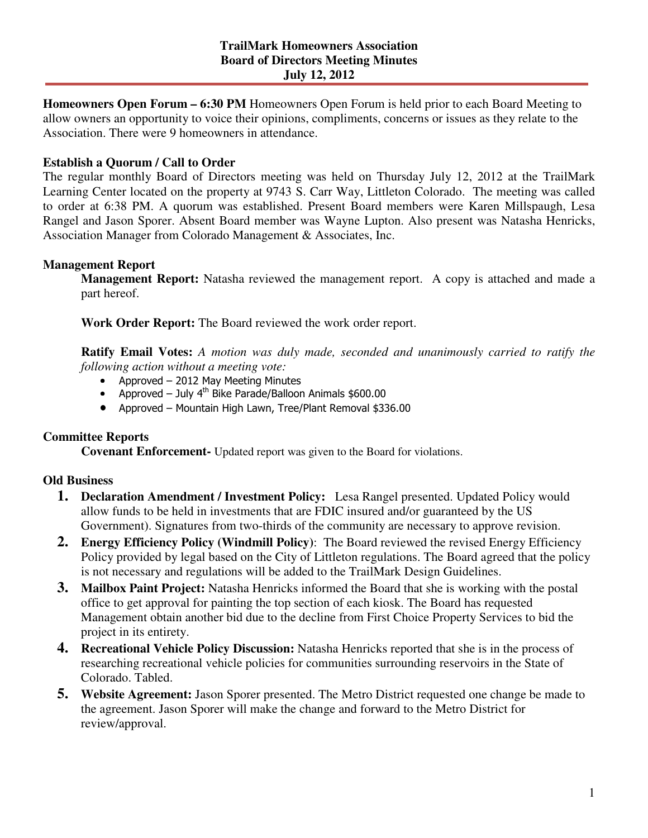**Homeowners Open Forum – 6:30 PM** Homeowners Open Forum is held prior to each Board Meeting to allow owners an opportunity to voice their opinions, compliments, concerns or issues as they relate to the Association. There were 9 homeowners in attendance.

# **Establish a Quorum / Call to Order**

The regular monthly Board of Directors meeting was held on Thursday July 12, 2012 at the TrailMark Learning Center located on the property at 9743 S. Carr Way, Littleton Colorado. The meeting was called to order at 6:38 PM. A quorum was established. Present Board members were Karen Millspaugh, Lesa Rangel and Jason Sporer. Absent Board member was Wayne Lupton. Also present was Natasha Henricks, Association Manager from Colorado Management & Associates, Inc.

#### **Management Report**

**Management Report:** Natasha reviewed the management report. A copy is attached and made a part hereof.

**Work Order Report:** The Board reviewed the work order report.

**Ratify Email Votes:** *A motion was duly made, seconded and unanimously carried to ratify the following action without a meeting vote:*

- Approved 2012 May Meeting Minutes
- Approved July  $4^{th}$  Bike Parade/Balloon Animals \$600.00
- Approved Mountain High Lawn, Tree/Plant Removal \$336.00

## **Committee Reports**

**Covenant Enforcement-** Updated report was given to the Board for violations.

#### **Old Business**

- **1. Declaration Amendment / Investment Policy:** Lesa Rangel presented. Updated Policy would allow funds to be held in investments that are FDIC insured and/or guaranteed by the US Government). Signatures from two-thirds of the community are necessary to approve revision.
- **2. Energy Efficiency Policy (Windmill Policy)**: The Board reviewed the revised Energy Efficiency Policy provided by legal based on the City of Littleton regulations. The Board agreed that the policy is not necessary and regulations will be added to the TrailMark Design Guidelines.
- **3. Mailbox Paint Project:** Natasha Henricks informed the Board that she is working with the postal office to get approval for painting the top section of each kiosk. The Board has requested Management obtain another bid due to the decline from First Choice Property Services to bid the project in its entirety.
- **4. Recreational Vehicle Policy Discussion:** Natasha Henricks reported that she is in the process of researching recreational vehicle policies for communities surrounding reservoirs in the State of Colorado. Tabled.
- **5. Website Agreement:** Jason Sporer presented. The Metro District requested one change be made to the agreement. Jason Sporer will make the change and forward to the Metro District for review/approval.